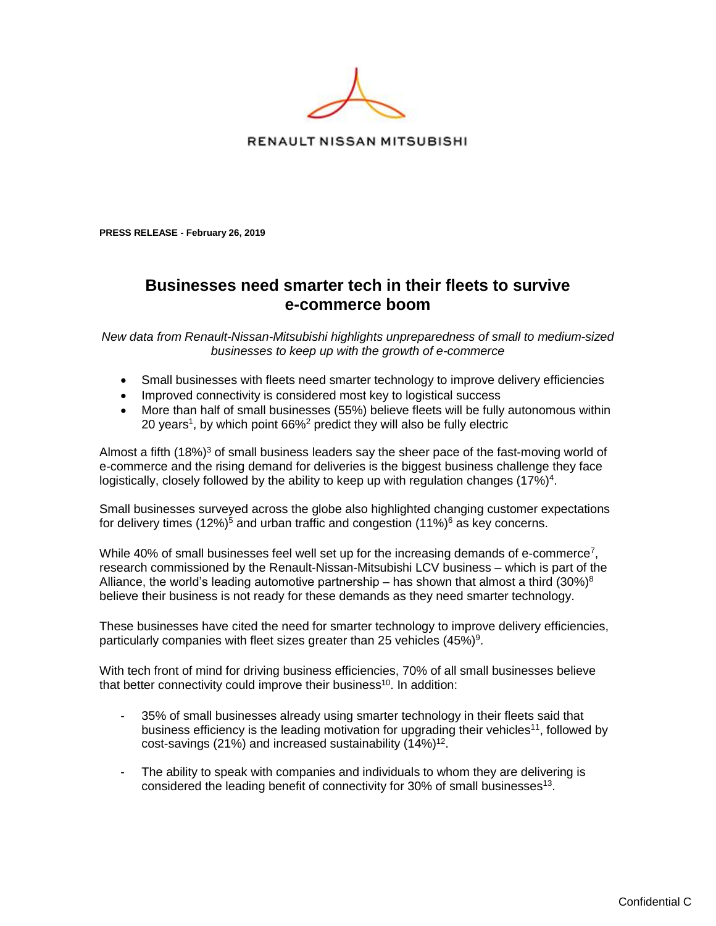

RENAULT NISSAN MITSUBISHI

**PRESS RELEASE - February 26, 2019** 

## **Businesses need smarter tech in their fleets to survive e-commerce boom**

*New data from Renault-Nissan-Mitsubishi highlights unpreparedness of small to medium-sized businesses to keep up with the growth of e-commerce*

- Small businesses with fleets need smarter technology to improve delivery efficiencies
- Improved connectivity is considered most key to logistical success
- More than half of small businesses (55%) believe fleets will be fully autonomous within 20 years<sup>1</sup>, by which point 66%<sup>2</sup> predict they will also be fully electric

Almost a fifth  $(18%)<sup>3</sup>$  of small business leaders say the sheer pace of the fast-moving world of e-commerce and the rising demand for deliveries is the biggest business challenge they face logistically, closely followed by the ability to keep up with regulation changes (17%)<sup>4</sup>.

Small businesses surveyed across the globe also highlighted changing customer expectations for delivery times  $(12\%)^5$  and urban traffic and congestion  $(11\%)^6$  as key concerns.

While 40% of small businesses feel well set up for the increasing demands of e-commerce<sup>7</sup>, research commissioned by the Renault-Nissan-Mitsubishi LCV business – which is part of the Alliance, the world's leading automotive partnership – has shown that almost a third  $(30\%)^8$ believe their business is not ready for these demands as they need smarter technology.

These businesses have cited the need for smarter technology to improve delivery efficiencies, particularly companies with fleet sizes greater than 25 vehicles  $(45\%)^9$ .

With tech front of mind for driving business efficiencies, 70% of all small businesses believe that better connectivity could improve their business<sup>10</sup>. In addition:

- 35% of small businesses already using smarter technology in their fleets said that business efficiency is the leading motivation for upgrading their vehicles<sup>11</sup>, followed by cost-savings (21%) and increased sustainability  $(14\%)^{12}$ .
- The ability to speak with companies and individuals to whom they are delivering is considered the leading benefit of connectivity for 30% of small businesses<sup>13</sup>.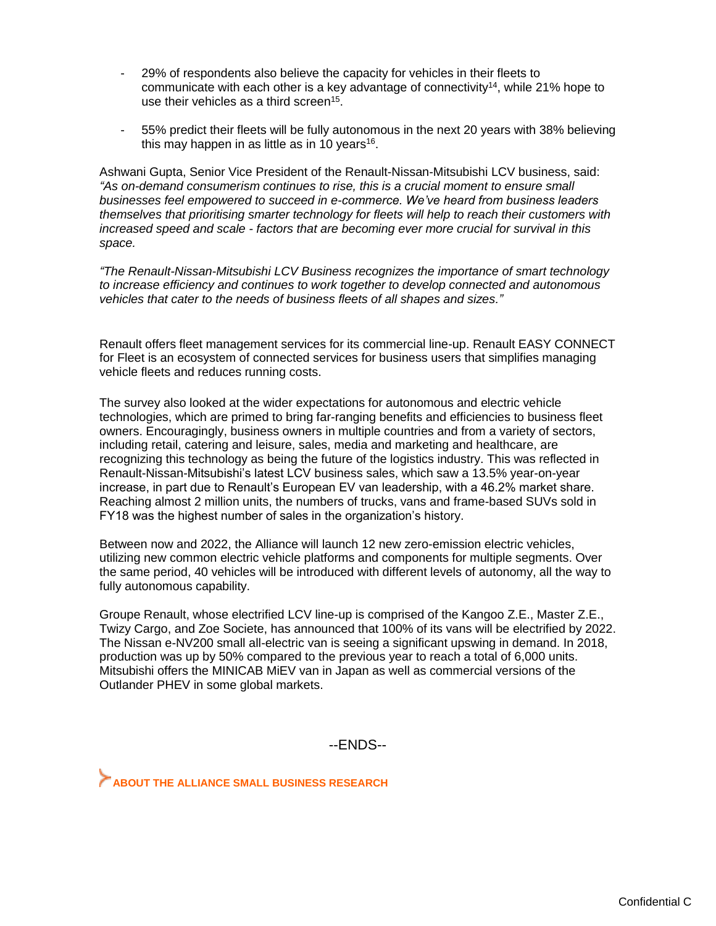- 29% of respondents also believe the capacity for vehicles in their fleets to communicate with each other is a key advantage of connectivity<sup>14</sup>, while 21% hope to use their vehicles as a third screen<sup>15</sup>.
- 55% predict their fleets will be fully autonomous in the next 20 years with 38% believing this may happen in as little as in 10 years<sup>16</sup>.

Ashwani Gupta, Senior Vice President of the Renault-Nissan-Mitsubishi LCV business, said: *"As on-demand consumerism continues to rise, this is a crucial moment to ensure small businesses feel empowered to succeed in e-commerce. We've heard from business leaders themselves that prioritising smarter technology for fleets will help to reach their customers with increased speed and scale - factors that are becoming ever more crucial for survival in this space.*

*"The Renault-Nissan-Mitsubishi LCV Business recognizes the importance of smart technology to increase efficiency and continues to work together to develop connected and autonomous vehicles that cater to the needs of business fleets of all shapes and sizes."*

Renault offers fleet management services for its commercial line-up. Renault EASY CONNECT for Fleet is an ecosystem of connected services for business users that simplifies managing vehicle fleets and reduces running costs.

The survey also looked at the wider expectations for autonomous and electric vehicle technologies, which are primed to bring far-ranging benefits and efficiencies to business fleet owners. Encouragingly, business owners in multiple countries and from a variety of sectors, including retail, catering and leisure, sales, media and marketing and healthcare, are recognizing this technology as being the future of the logistics industry. This was reflected in Renault-Nissan-Mitsubishi's latest LCV business sales, which saw a 13.5% year-on-year increase, in part due to Renault's European EV van leadership, with a 46.2% market share. Reaching almost 2 million units, the numbers of trucks, vans and frame-based SUVs sold in FY18 was the highest number of sales in the organization's history.

Between now and 2022, the Alliance will launch 12 new zero-emission electric vehicles, utilizing new common electric vehicle platforms and components for multiple segments. Over the same period, 40 vehicles will be introduced with different levels of autonomy, all the way to fully autonomous capability.

Groupe Renault, whose electrified LCV line-up is comprised of the Kangoo Z.E., Master Z.E., Twizy Cargo, and Zoe Societe, has announced that 100% of its vans will be electrified by 2022. The Nissan e-NV200 small all-electric van is seeing a significant upswing in demand. In 2018, production was up by 50% compared to the previous year to reach a total of 6,000 units. Mitsubishi offers the MINICAB MiEV van in Japan as well as commercial versions of the Outlander PHEV in some global markets.

--ENDS--

**ABOUT THE ALLIANCE SMALL BUSINESS RESEARCH**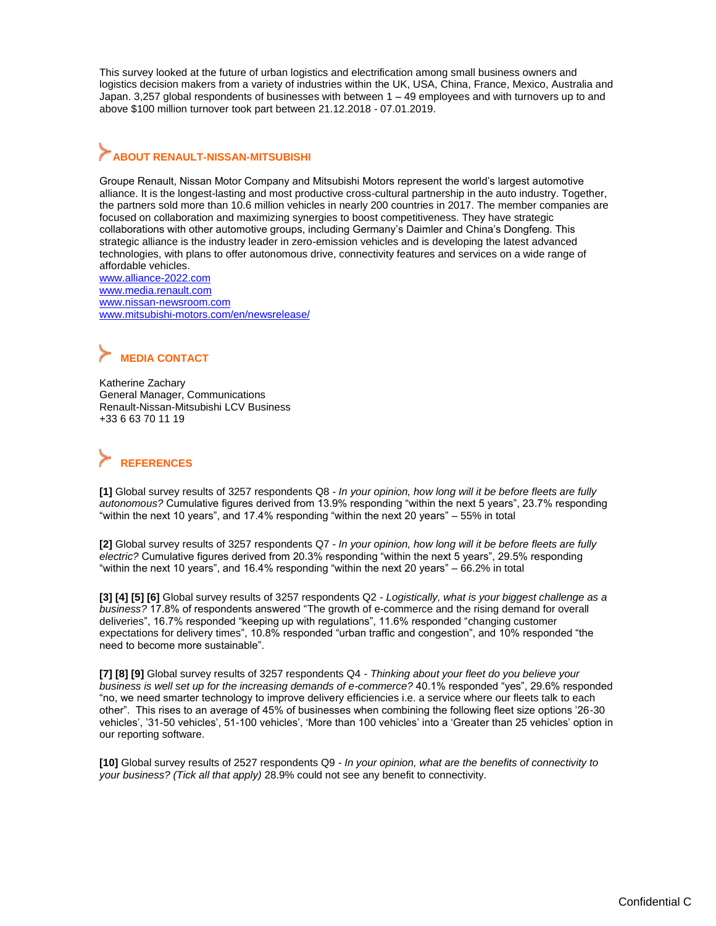This survey looked at the future of urban logistics and electrification among small business owners and logistics decision makers from a variety of industries within the UK, USA, China, France, Mexico, Australia and Japan. 3,257 global respondents of businesses with between 1 – 49 employees and with turnovers up to and above \$100 million turnover took part between 21.12.2018 - 07.01.2019.

## **ABOUT RENAULT-NISSAN-MITSUBISHI**

Groupe Renault, Nissan Motor Company and Mitsubishi Motors represent the world's largest automotive alliance. It is the longest-lasting and most productive cross-cultural partnership in the auto industry. Together, the partners sold more than 10.6 million vehicles in nearly 200 countries in 2017. The member companies are focused on collaboration and maximizing synergies to boost competitiveness. They have strategic collaborations with other automotive groups, including Germany's Daimler and China's Dongfeng. This strategic alliance is the industry leader in zero-emission vehicles and is developing the latest advanced technologies, with plans to offer autonomous drive, connectivity features and services on a wide range of affordable vehicles.

www.alliance-2022.com [www.media.renault.com](http://www.media.renault.com/) [www.nissan-newsroom.com](http://www.nissan-newsroom.com/) [www.mitsubishi-motors.com/en/newsrelease/](http://www.mitsubishi-motors.com/en/newsrelease/)

## **MEDIA CONTACT**

[Katherine Zachary](mailto:katherine-zachary@mail.nissan.co.jp) General Manager, Communications Renault-Nissan-Mitsubishi LCV Business +33 6 63 70 11 19

## **REFERENCES**

**[1]** Global survey results of 3257 respondents Q8 - *In your opinion, how long will it be before fleets are fully autonomous?* Cumulative figures derived from 13.9% responding "within the next 5 years", 23.7% responding "within the next 10 years", and 17.4% responding "within the next 20 years" – 55% in total

**[2]** Global survey results of 3257 respondents Q7 - *In your opinion, how long will it be before fleets are fully electric?* Cumulative figures derived from 20.3% responding "within the next 5 years", 29.5% responding "within the next 10 years", and 16.4% responding "within the next 20 years" – 66.2% in total

**[3] [4] [5] [6]** Global survey results of 3257 respondents Q2 - *Logistically, what is your biggest challenge as a business?* 17.8% of respondents answered "The growth of e-commerce and the rising demand for overall deliveries", 16.7% responded "keeping up with regulations", 11.6% responded "changing customer expectations for delivery times", 10.8% responded "urban traffic and congestion", and 10% responded "the need to become more sustainable".

**[7] [8] [9]** Global survey results of 3257 respondents Q4 - *Thinking about your fleet do you believe your business is well set up for the increasing demands of e-commerce?* 40.1% responded "yes", 29.6% responded "no, we need smarter technology to improve delivery efficiencies i.e. a service where our fleets talk to each other". This rises to an average of 45% of businesses when combining the following fleet size options '26-30 vehicles', '31-50 vehicles', 51-100 vehicles', 'More than 100 vehicles' into a 'Greater than 25 vehicles' option in our reporting software.

**[10]** Global survey results of 2527 respondents Q9 - *In your opinion, what are the benefits of connectivity to your business? (Tick all that apply)* 28.9% could not see any benefit to connectivity.